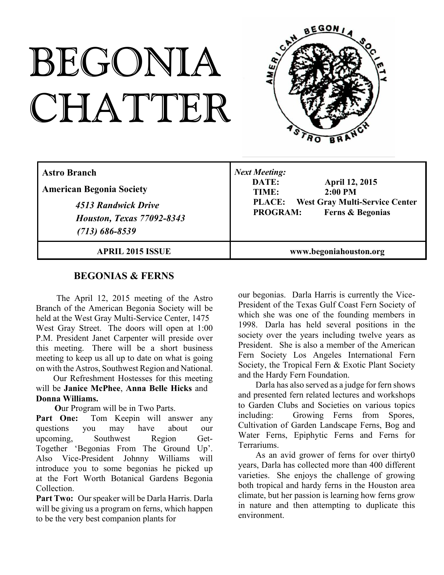# BEGONIA CHATTER



| <b>Astro Branch</b><br><b>American Begonia Society</b><br>4513 Randwick Drive<br><b>Houston, Texas 77092-8343</b><br>$(713) 686 - 8539$ | <b>Next Meeting:</b><br>DATE:<br><b>April 12, 2015</b><br>$2:00$ PM<br>TIME:<br><b>West Gray Multi-Service Center</b><br><b>PLACE:</b><br><b>Ferns &amp; Begonias</b><br><b>PROGRAM:</b> |
|-----------------------------------------------------------------------------------------------------------------------------------------|------------------------------------------------------------------------------------------------------------------------------------------------------------------------------------------|
| <b>APRIL 2015 ISSUE</b>                                                                                                                 | www.begoniahouston.org                                                                                                                                                                   |

## **BEGONIAS & FERNS**

The April 12, 2015 meeting of the Astro Branch of the American Begonia Society will be held at the West Gray Multi-Service Center, 1475 West Gray Street. The doors will open at 1:00 P.M. President Janet Carpenter will preside over this meeting. There will be a short business meeting to keep us all up to date on what is going on with the Astros, Southwest Region and National.

Our Refreshment Hostesses for this meeting will be **Janice McPhee**, **Anna Belle Hicks** and **Donna Williams.**

**O**ur Program will be in Two Parts.

Part One: Tom Keepin will answer any questions you may have about our upcoming, Southwest Region Get-Together 'Begonias From The Ground Up'. Also Vice-President Johnny Williams will introduce you to some begonias he picked up at the Fort Worth Botanical Gardens Begonia Collection.

**Part Two:** Our speaker will be Darla Harris. Darla will be giving us a program on ferns, which happen to be the very best companion plants for

our begonias. Darla Harris is currently the Vice-President of the Texas Gulf Coast Fern Society of which she was one of the founding members in 1998. Darla has held several positions in the society over the years including twelve years as President. She is also a member of the American Fern Society Los Angeles International Fern Society, the Tropical Fern & Exotic Plant Society and the Hardy Fern Foundation.

Darla has also served as a judge for fern shows and presented fern related lectures and workshops to Garden Clubs and Societies on various topics including: Growing Ferns from Spores, Cultivation of Garden Landscape Ferns, Bog and Water Ferns, Epiphytic Ferns and Ferns for Terrariums.

As an avid grower of ferns for over thirty0 years, Darla has collected more than 400 different varieties. She enjoys the challenge of growing both tropical and hardy ferns in the Houston area climate, but her passion is learning how ferns grow in nature and then attempting to duplicate this environment.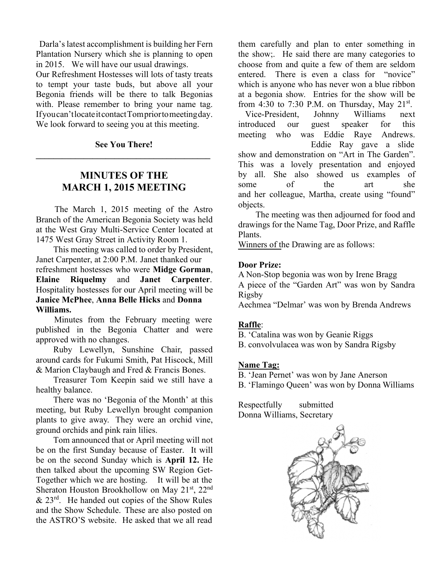Darla's latest accomplishment is building her Fern Plantation Nursery which she is planning to open in 2015. We will have our usual drawings.

Our Refreshment Hostesses will lots of tasty treats to tempt your taste buds, but above all your Begonia friends will be there to talk Begonias with. Please remember to bring your name tag. If you can't locate it contact Tom prior to meeting day. We look forward to seeing you at this meeting.

## **See You There! \_\_\_\_\_\_\_\_\_\_\_\_\_\_\_\_\_\_\_\_\_\_\_\_\_\_\_\_\_\_\_\_\_\_\_\_\_\_\_\_**

## **MINUTES OF THE MARCH 1, 2015 MEETING**

The March 1, 2015 meeting of the Astro Branch of the American Begonia Society was held at the West Gray Multi-Service Center located at 1475 West Gray Street in Activity Room 1.

This meeting was called to order by President, Janet Carpenter, at 2:00 P.M. Janet thanked our refreshment hostesses who were **Midge Gorman**, **Elaine Riquelmy** and **Janet Carpenter**. Hospitality hostesses for our April meeting will be **Janice McPhee**, **Anna Belle Hicks** and **Donna Williams.**

Minutes from the February meeting were published in the Begonia Chatter and were approved with no changes.

Ruby Lewellyn, Sunshine Chair, passed around cards for Fukumi Smith, Pat Hiscock, Mill & Marion Claybaugh and Fred & Francis Bones.

Treasurer Tom Keepin said we still have a healthy balance.

There was no 'Begonia of the Month' at this meeting, but Ruby Lewellyn brought companion plants to give away. They were an orchid vine, ground orchids and pink rain lilies.

Tom announced that or April meeting will not be on the first Sunday because of Easter. It will be on the second Sunday which is **April 12.** He then talked about the upcoming SW Region Get-Together which we are hosting. It will be at the Sheraton Houston Brookhollow on May  $21<sup>st</sup>$ ,  $22<sup>nd</sup>$  $& 23<sup>rd</sup>$ . He handed out copies of the Show Rules and the Show Schedule. These are also posted on the ASTRO'S website. He asked that we all read

them carefully and plan to enter something in the show;. He said there are many categories to choose from and quite a few of them are seldom entered. There is even a class for "novice" which is anyone who has never won a blue ribbon at a begonia show. Entries for the show will be from 4:30 to 7:30 P.M. on Thursday, May  $21^{st}$ .

Vice-President, Johnny Williams next introduced our guest speaker for this meeting who was Eddie Raye Andrews. Eddie Ray gave a slide show and demonstration on "Art in The Garden". This was a lovely presentation and enjoyed by all. She also showed us examples of some of the art she and her colleague, Martha, create using "found" objects.

The meeting was then adjourned for food and drawings for the Name Tag, Door Prize, and Raffle Plants.

Winners of the Drawing are as follows:

#### **Door Prize:**

A Non-Stop begonia was won by Irene Bragg A piece of the "Garden Art" was won by Sandra Rigsby

Aechmea "Delmar' was won by Brenda Andrews

#### **Raffle**:

B. 'Catalina was won by Geanie Riggs

B. convolvulacea was won by Sandra Rigsby

#### **Name Tag:**

- B. 'Jean Pernet' was won by Jane Anerson
- B. 'Flamingo Queen' was won by Donna Williams

Respectfully submitted Donna Williams, Secretary

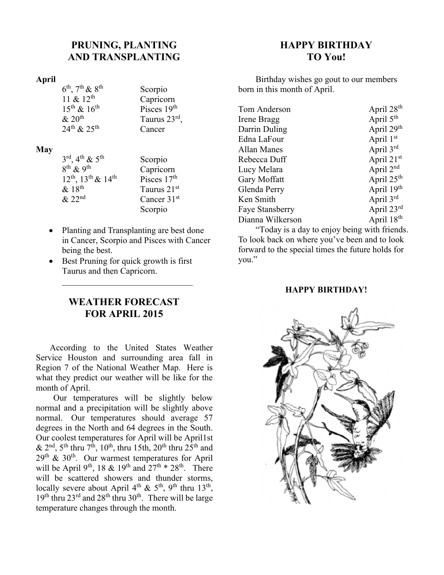## **PRUNING, PLANTING AND TRANSPLANTING**

### **April**

 $6<sup>th</sup>$ ,  $7<sup>th</sup>$  &  $8<sup>th</sup>$  Scorpio  $15^{th}$  &  $16^{th}$ <br>& 20<sup>th</sup>  $24^{\text{th}} \& 25^{\text{th}}$  Cancer

 $11 \& 12^{th}$  Capricorn<br>  $15^{th} \& 16^{th}$  Pisces  $19^{th}$  $\&$  20<sup>th</sup> Taurus 23<sup>rd</sup>,

#### **May**

| $3^{\text{rd}}$ , 4 <sup>th</sup> & 5 <sup>th</sup> | Scorpio                 |
|-----------------------------------------------------|-------------------------|
| $8^{th}$ & 9 <sup>th</sup>                          | Capricorn               |
| $12^{th}$ , $13^{th}$ & $14^{th}$                   | Pisces 17 <sup>th</sup> |
| & 18 <sup>th</sup>                                  | Taurus 21 <sup>st</sup> |
| & 22 <sup>nd</sup>                                  | Cancer 31 <sup>st</sup> |
|                                                     | Scorpio                 |

- Planting and Transplanting are best done in Cancer, Scorpio and Pisces with Cancer being the best.
- Best Pruning for quick growth is first Taurus and then Capricorn.

## **WEATHER FORECAST FOR APRIL 2015**

 $\frac{1}{2}$  ,  $\frac{1}{2}$  ,  $\frac{1}{2}$  ,  $\frac{1}{2}$  ,  $\frac{1}{2}$  ,  $\frac{1}{2}$  ,  $\frac{1}{2}$  ,  $\frac{1}{2}$  ,  $\frac{1}{2}$  ,  $\frac{1}{2}$  ,  $\frac{1}{2}$  ,  $\frac{1}{2}$  ,  $\frac{1}{2}$  ,  $\frac{1}{2}$  ,  $\frac{1}{2}$  ,  $\frac{1}{2}$  ,  $\frac{1}{2}$  ,  $\frac{1}{2}$  ,  $\frac{1$ 

According to the United States Weather Service Houston and surrounding area fall in Region 7 of the National Weather Map. Here is what they predict our weather will be like for the month of April.

Our temperatures will be slightly below normal and a precipitation will be slightly above normal. Our temperatures should average 57 degrees in the North and 64 degrees in the South. Our coolest temperatures for April will be April1st  $\&$  2<sup>nd</sup>, 5<sup>th</sup> thru 7<sup>th</sup>, 10<sup>th</sup>, thru 15th, 20<sup>th</sup> thru 25<sup>th</sup> and  $29<sup>th</sup>$  & 30<sup>th</sup>. Our warmest temperatures for April will be April 9<sup>th</sup>, 18 & 19<sup>th</sup> and  $27<sup>th</sup> * 28<sup>th</sup>$ . There will be scattered showers and thunder storms, locally severe about April  $4<sup>th</sup>$  &  $5<sup>th</sup>$ , 9<sup>th</sup> thru 13<sup>th</sup>, 19<sup>th</sup> thru 23<sup>rd</sup> and 28<sup>th</sup> thru 30<sup>th</sup>. There will be large temperature changes through the month.

## **HAPPY BIRTHDAY TO You!**

Birthday wishes go gout to our members born in this month of April.

| Tom Anderson           | April 28 <sup>th</sup> |
|------------------------|------------------------|
| Irene Bragg            | April 5 <sup>th</sup>  |
| Darrin Duling          | April 29th             |
| Edna LaFour            | April 1st              |
| Allan Manes            | April 3rd              |
| Rebecca Duff           | April 21st             |
| Lucy Melara            | April 2nd              |
| Gary Moffatt           | April 25 <sup>th</sup> |
| Glenda Perry           | April 19th             |
| Ken Smith              | April 3rd              |
| <b>Faye Stansberry</b> | April 23rd             |
| Dianna Wilkerson       | April 18th             |
|                        |                        |

"Today is a day to enjoy being with friends. To look back on where you've been and to look forward to the special times the future holds for you."

### **HAPPY BIRTHDAY!**

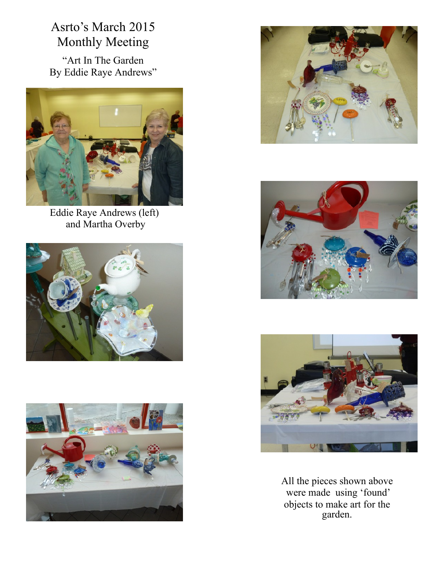## Asrto's March 2015 Monthly Meeting

"Art In The Garden By Eddie Raye Andrews"



Eddie Raye Andrews (left) and Martha Overby











All the pieces shown above were made using 'found' objects to make art for the garden.